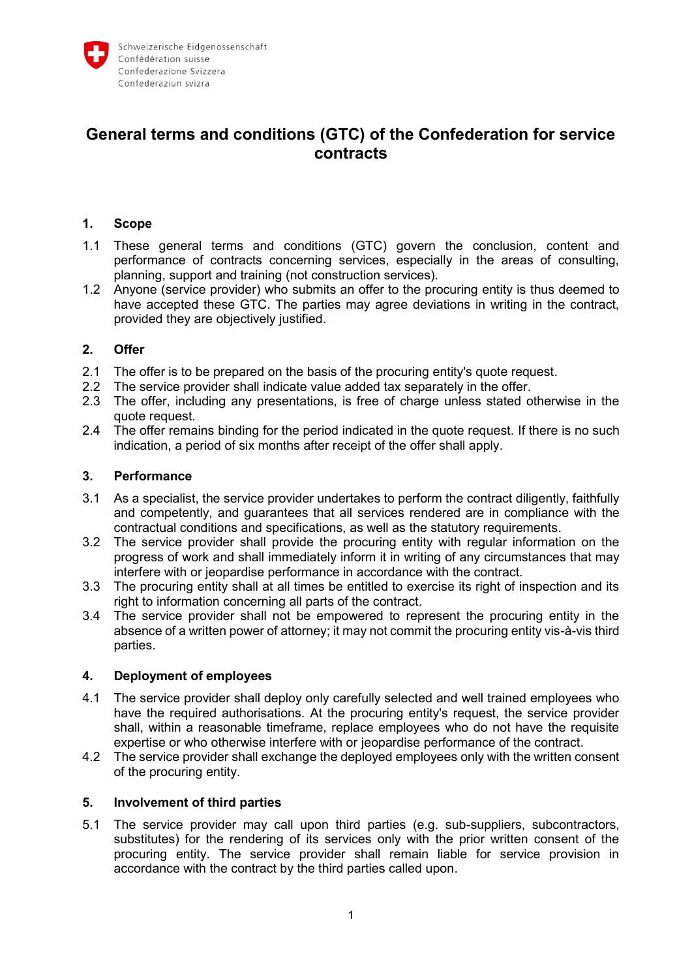

# **General terms and conditions (GTC) of the Confederation for service contracts**

### **1. Scope**

- 1.1 These general terms and conditions (GTC) govern the conclusion, content and performance of contracts concerning services, especially in the areas of consulting, planning, support and training (not construction services).
- 1.2 Anyone (service provider) who submits an offer to the procuring entity is thus deemed to have accepted these GTC. The parties may agree deviations in writing in the contract, provided they are objectively justified.

### **2. Offer**

- 2.1 The offer is to be prepared on the basis of the procuring entity's quote request.
- 2.2 The service provider shall indicate value added tax separately in the offer.
- 2.3 The offer, including any presentations, is free of charge unless stated otherwise in the quote request.
- 2.4 The offer remains binding for the period indicated in the quote request. If there is no such indication, a period of six months after receipt of the offer shall apply.

### **3. Performance**

- 3.1 As a specialist, the service provider undertakes to perform the contract diligently, faithfully and competently, and guarantees that all services rendered are in compliance with the contractual conditions and specifications, as well as the statutory requirements.
- 3.2 The service provider shall provide the procuring entity with regular information on the progress of work and shall immediately inform it in writing of any circumstances that may interfere with or jeopardise performance in accordance with the contract.
- 3.3 The procuring entity shall at all times be entitled to exercise its right of inspection and its right to information concerning all parts of the contract.
- 3.4 The service provider shall not be empowered to represent the procuring entity in the absence of a written power of attorney; it may not commit the procuring entity vis-à-vis third parties.

### **4. Deployment of employees**

- 4.1 The service provider shall deploy only carefully selected and well trained employees who have the required authorisations. At the procuring entity's request, the service provider shall, within a reasonable timeframe, replace employees who do not have the requisite expertise or who otherwise interfere with or jeopardise performance of the contract.
- 4.2 The service provider shall exchange the deployed employees only with the written consent of the procuring entity.

### **5. Involvement of third parties**

5.1 The service provider may call upon third parties (e.g. sub-suppliers, subcontractors, substitutes) for the rendering of its services only with the prior written consent of the procuring entity. The service provider shall remain liable for service provision in accordance with the contract by the third parties called upon.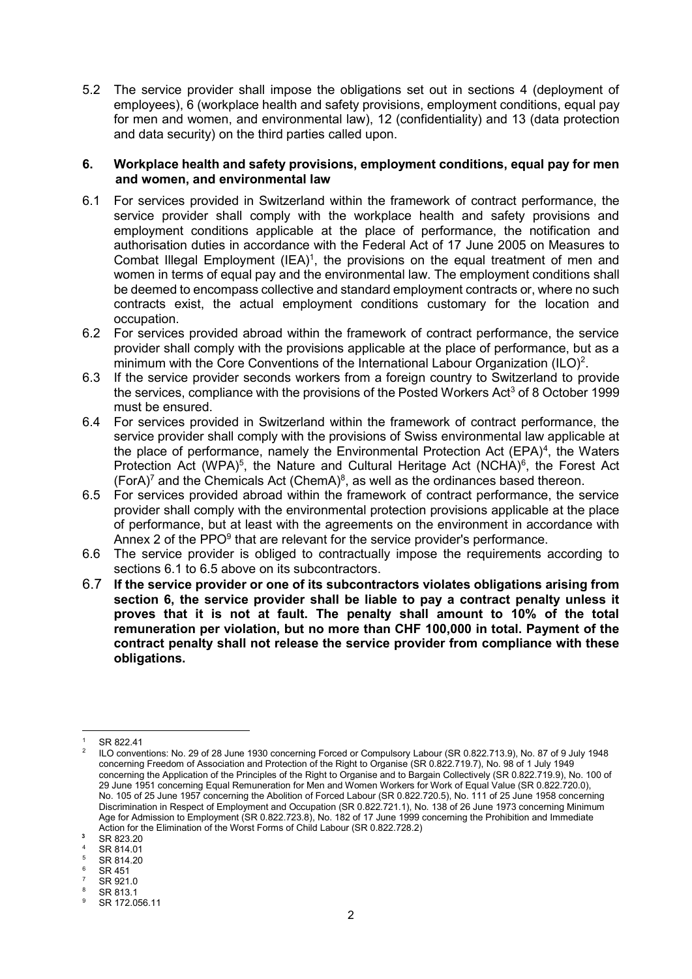5.2 The service provider shall impose the obligations set out in sections 4 (deployment of employees), 6 (workplace health and safety provisions, employment conditions, equal pay for men and women, and environmental law), 12 (confidentiality) and 13 (data protection and data security) on the third parties called upon.

#### **6. Workplace health and safety provisions, employment conditions, equal pay for men and women, and environmental law**

- 6.1 For services provided in Switzerland within the framework of contract performance, the service provider shall comply with the workplace health and safety provisions and employment conditions applicable at the place of performance, the notification and authorisation duties in accordance with the Federal Act of 17 June 2005 on Measures to Combat Illegal Employment (IEA)<sup>1</sup>, the provisions on the equal treatment of men and women in terms of equal pay and the environmental law. The employment conditions shall be deemed to encompass collective and standard employment contracts or, where no such contracts exist, the actual employment conditions customary for the location and occupation.
- 6.2 For services provided abroad within the framework of contract performance, the service provider shall comply with the provisions applicable at the place of performance, but as a minimum with the Core Conventions of the International Labour Organization (ILO)<sup>2</sup>.
- 6.3 If the service provider seconds workers from a foreign country to Switzerland to provide the services, compliance with the provisions of the Posted Workers Act<sup>3</sup> of 8 October 1999 must be ensured.
- 6.4 For services provided in Switzerland within the framework of contract performance, the service provider shall comply with the provisions of Swiss environmental law applicable at the place of performance, namely the Environmental Protection Act (EPA)<sup>4</sup>, the Waters Protection Act (WPA)<sup>5</sup>, the Nature and Cultural Heritage Act (NCHA)<sup>6</sup>, the Forest Act (ForA)<sup>7</sup> and the Chemicals Act (ChemA)<sup>8</sup>, as well as the ordinances based thereon.
- 6.5 For services provided abroad within the framework of contract performance, the service provider shall comply with the environmental protection provisions applicable at the place of performance, but at least with the agreements on the environment in accordance with Annex 2 of the PPO $9$  that are relevant for the service provider's performance.
- 6.6 The service provider is obliged to contractually impose the requirements according to sections 6.1 to 6.5 above on its subcontractors.
- 6.7 **If the service provider or one of its subcontractors violates obligations arising from section 6, the service provider shall be liable to pay a contract penalty unless it proves that it is not at fault. The penalty shall amount to 10% of the total remuneration per violation, but no more than CHF 100,000 in total. Payment of the contract penalty shall not release the service provider from compliance with these obligations.**

 $\overline{a}$ 

SR 822.41

<sup>2</sup> ILO conventions: No. 29 of 28 June 1930 concerning Forced or Compulsory Labour (SR 0.822.713.9), No. 87 of 9 July 1948 concerning Freedom of Association and Protection of the Right to Organise (SR 0.822.719.7), No. 98 of 1 July 1949 concerning the Application of the Principles of the Right to Organise and to Bargain Collectively (SR 0.822.719.9), No. 100 of 29 June 1951 concerning Equal Remuneration for Men and Women Workers for Work of Equal Value (SR 0.822.720.0), No. 105 of 25 June 1957 concerning the Abolition of Forced Labour (SR 0.822.720.5), No. 111 of 25 June 1958 concerning Discrimination in Respect of Employment and Occupation (SR 0.822.721.1), No. 138 of 26 June 1973 concerning Minimum Age for Admission to Employment (SR 0.822.723.8), No. 182 of 17 June 1999 concerning the Prohibition and Immediate Action for the Elimination of the Worst Forms of Child Labour (SR 0.822.728.2)

**<sup>3</sup>** SR 823.20

 $^{4}$  SR 814.01

SR 814.20

SR 451

 $7$  SR 921.0

 $\frac{8}{9}$  SR 813.1 SR 172.056.11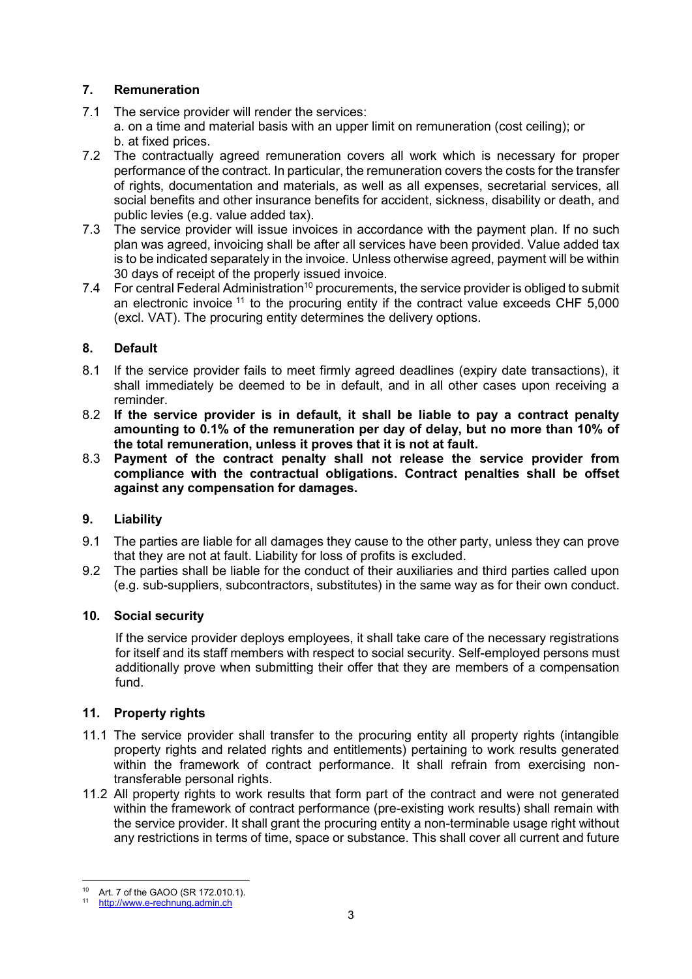# **7. Remuneration**

- 7.1 The service provider will render the services: a. on a time and material basis with an upper limit on remuneration (cost ceiling); or b. at fixed prices.
- 7.2 The contractually agreed remuneration covers all work which is necessary for proper performance of the contract. In particular, the remuneration covers the costs for the transfer of rights, documentation and materials, as well as all expenses, secretarial services, all social benefits and other insurance benefits for accident, sickness, disability or death, and public levies (e.g. value added tax).
- 7.3 The service provider will issue invoices in accordance with the payment plan. If no such plan was agreed, invoicing shall be after all services have been provided. Value added tax is to be indicated separately in the invoice. Unless otherwise agreed, payment will be within 30 days of receipt of the properly issued invoice.
- 7.4 For central Federal Administration<sup>10</sup> procurements, the service provider is obliged to submit an electronic invoice  $11$  to the procuring entity if the contract value exceeds CHF 5,000 (excl. VAT). The procuring entity determines the delivery options.

# **8. Default**

- 8.1 If the service provider fails to meet firmly agreed deadlines (expiry date transactions), it shall immediately be deemed to be in default, and in all other cases upon receiving a reminder.
- 8.2 **If the service provider is in default, it shall be liable to pay a contract penalty amounting to 0.1% of the remuneration per day of delay, but no more than 10% of the total remuneration, unless it proves that it is not at fault.**
- 8.3 **Payment of the contract penalty shall not release the service provider from compliance with the contractual obligations. Contract penalties shall be offset against any compensation for damages.**

### **9. Liability**

- 9.1 The parties are liable for all damages they cause to the other party, unless they can prove that they are not at fault. Liability for loss of profits is excluded.
- 9.2 The parties shall be liable for the conduct of their auxiliaries and third parties called upon (e.g. sub-suppliers, subcontractors, substitutes) in the same way as for their own conduct.

### **10. Social security**

If the service provider deploys employees, it shall take care of the necessary registrations for itself and its staff members with respect to social security. Self-employed persons must additionally prove when submitting their offer that they are members of a compensation fund.

### **11. Property rights**

- 11.1 The service provider shall transfer to the procuring entity all property rights (intangible property rights and related rights and entitlements) pertaining to work results generated within the framework of contract performance. It shall refrain from exercising nontransferable personal rights.
- 11.2 All property rights to work results that form part of the contract and were not generated within the framework of contract performance (pre-existing work results) shall remain with the service provider. It shall grant the procuring entity a non-terminable usage right without any restrictions in terms of time, space or substance. This shall cover all current and future

 $\overline{a}$ <sup>10</sup> Art. 7 of the GAOO (SR 172.010.1).

<sup>11</sup> [http://www.e-rechnung.admin.ch](http://www.e-rechnung.admin.ch/)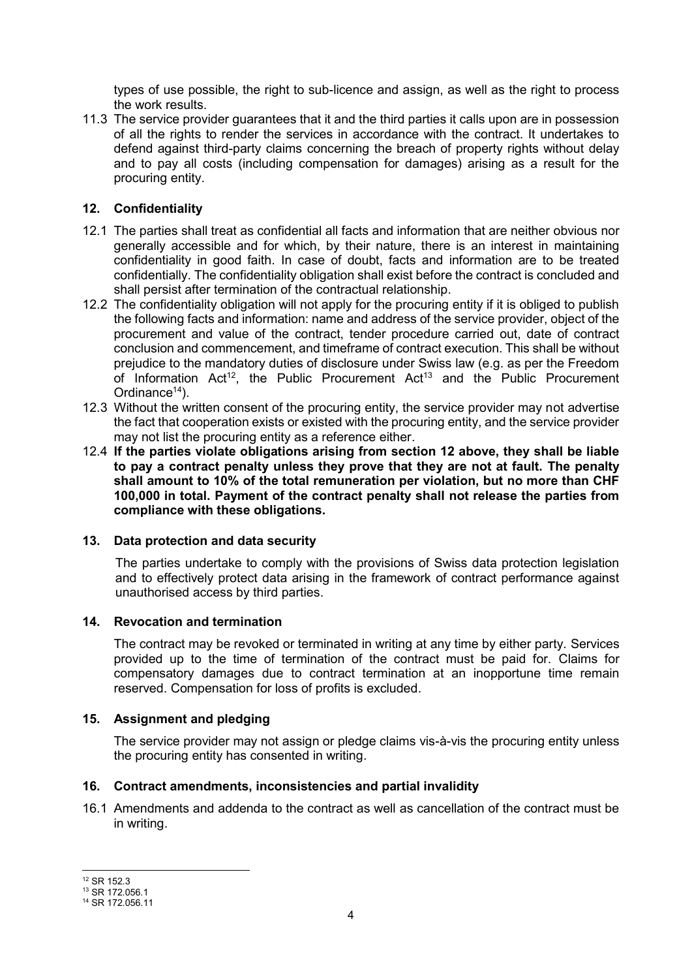types of use possible, the right to sub-licence and assign, as well as the right to process the work results.

11.3 The service provider guarantees that it and the third parties it calls upon are in possession of all the rights to render the services in accordance with the contract. It undertakes to defend against third-party claims concerning the breach of property rights without delay and to pay all costs (including compensation for damages) arising as a result for the procuring entity.

### **12. Confidentiality**

- 12.1 The parties shall treat as confidential all facts and information that are neither obvious nor generally accessible and for which, by their nature, there is an interest in maintaining confidentiality in good faith. In case of doubt, facts and information are to be treated confidentially. The confidentiality obligation shall exist before the contract is concluded and shall persist after termination of the contractual relationship.
- 12.2 The confidentiality obligation will not apply for the procuring entity if it is obliged to publish the following facts and information: name and address of the service provider, object of the procurement and value of the contract, tender procedure carried out, date of contract conclusion and commencement, and timeframe of contract execution. This shall be without prejudice to the mandatory duties of disclosure under Swiss law (e.g. as per the Freedom of Information Act<sup>12</sup>, the Public Procurement Act<sup>13</sup> and the Public Procurement Ordinance<sup>14</sup>).
- 12.3 Without the written consent of the procuring entity, the service provider may not advertise the fact that cooperation exists or existed with the procuring entity, and the service provider may not list the procuring entity as a reference either.
- 12.4 **If the parties violate obligations arising from section 12 above, they shall be liable to pay a contract penalty unless they prove that they are not at fault. The penalty shall amount to 10% of the total remuneration per violation, but no more than CHF 100,000 in total. Payment of the contract penalty shall not release the parties from compliance with these obligations.**

### **13. Data protection and data security**

The parties undertake to comply with the provisions of Swiss data protection legislation and to effectively protect data arising in the framework of contract performance against unauthorised access by third parties.

### **14. Revocation and termination**

The contract may be revoked or terminated in writing at any time by either party. Services provided up to the time of termination of the contract must be paid for. Claims for compensatory damages due to contract termination at an inopportune time remain reserved. Compensation for loss of profits is excluded.

### **15. Assignment and pledging**

The service provider may not assign or pledge claims vis-à-vis the procuring entity unless the procuring entity has consented in writing.

### **16. Contract amendments, inconsistencies and partial invalidity**

16.1 Amendments and addenda to the contract as well as cancellation of the contract must be in writing.

 $\overline{a}$ <sup>12</sup> SR 152.3

 $13$  SR 172.056.1

<sup>14</sup> SR 172.056.11